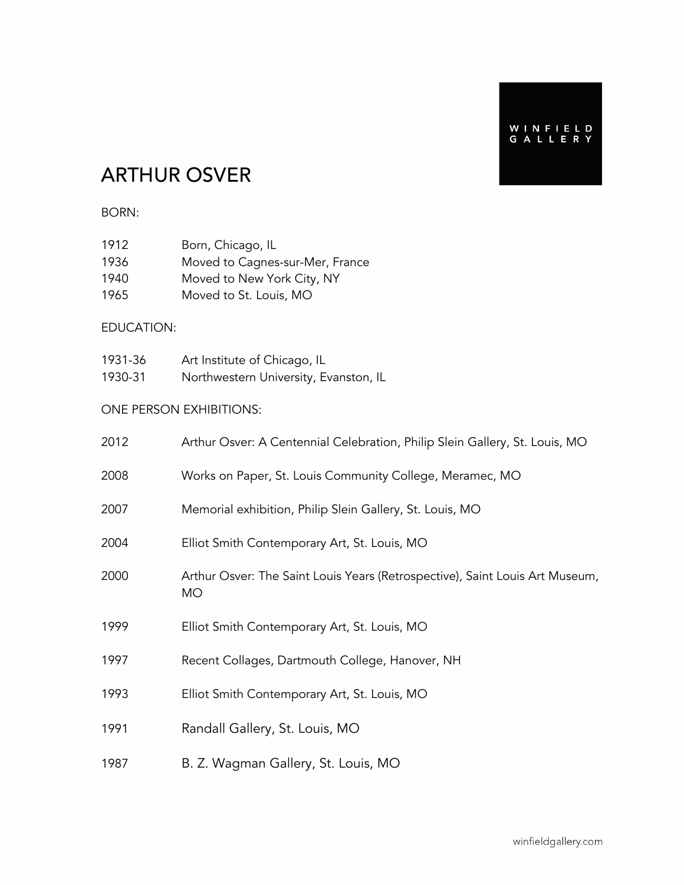## ARTHUR OSVER

#### BORN:

| 1912 | Born, Chicago, IL               |
|------|---------------------------------|
| 1936 | Moved to Cagnes-sur-Mer, France |
| 1940 | Moved to New York City, NY      |
| 1965 | Moved to St. Louis, MO          |

#### EDUCATION:

| 1931-36 | Art Institute of Chicago, IL          |
|---------|---------------------------------------|
| 1930-31 | Northwestern University, Evanston, IL |

#### ONE PERSON EXHIBITIONS:

| 2012 | Arthur Osver: A Centennial Celebration, Philip Slein Gallery, St. Louis, MO               |
|------|-------------------------------------------------------------------------------------------|
| 2008 | Works on Paper, St. Louis Community College, Meramec, MO                                  |
| 2007 | Memorial exhibition, Philip Slein Gallery, St. Louis, MO                                  |
| 2004 | Elliot Smith Contemporary Art, St. Louis, MO                                              |
| 2000 | Arthur Osver: The Saint Louis Years (Retrospective), Saint Louis Art Museum,<br><b>MO</b> |
| 1999 | Elliot Smith Contemporary Art, St. Louis, MO                                              |
| 1997 | Recent Collages, Dartmouth College, Hanover, NH                                           |
| 1993 | Elliot Smith Contemporary Art, St. Louis, MO                                              |
| 1991 | Randall Gallery, St. Louis, MO                                                            |
| 1987 | B. Z. Wagman Gallery, St. Louis, MO                                                       |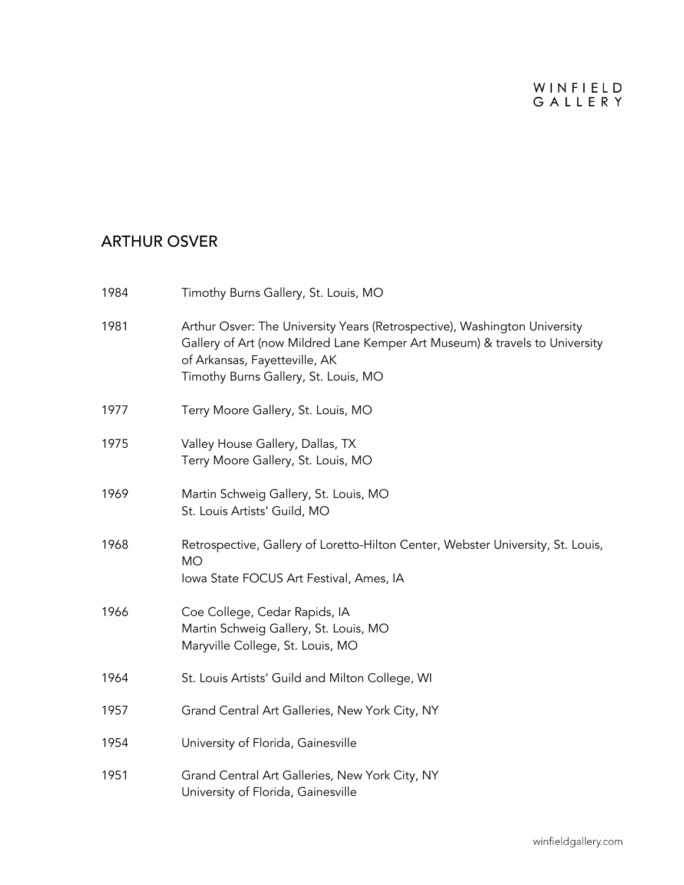| 1984 | Timothy Burns Gallery, St. Louis, MO                                                                                                                                                                                              |
|------|-----------------------------------------------------------------------------------------------------------------------------------------------------------------------------------------------------------------------------------|
| 1981 | Arthur Osver: The University Years (Retrospective), Washington University<br>Gallery of Art (now Mildred Lane Kemper Art Museum) & travels to University<br>of Arkansas, Fayetteville, AK<br>Timothy Burns Gallery, St. Louis, MO |
| 1977 | Terry Moore Gallery, St. Louis, MO                                                                                                                                                                                                |
| 1975 | Valley House Gallery, Dallas, TX<br>Terry Moore Gallery, St. Louis, MO                                                                                                                                                            |
| 1969 | Martin Schweig Gallery, St. Louis, MO<br>St. Louis Artists' Guild, MO                                                                                                                                                             |
| 1968 | Retrospective, Gallery of Loretto-Hilton Center, Webster University, St. Louis,<br><b>MO</b><br>Iowa State FOCUS Art Festival, Ames, IA                                                                                           |
| 1966 | Coe College, Cedar Rapids, IA<br>Martin Schweig Gallery, St. Louis, MO<br>Maryville College, St. Louis, MO                                                                                                                        |
| 1964 | St. Louis Artists' Guild and Milton College, WI                                                                                                                                                                                   |
| 1957 | Grand Central Art Galleries, New York City, NY                                                                                                                                                                                    |
| 1954 | University of Florida, Gainesville                                                                                                                                                                                                |
| 1951 | Grand Central Art Galleries, New York City, NY<br>University of Florida, Gainesville                                                                                                                                              |
|      |                                                                                                                                                                                                                                   |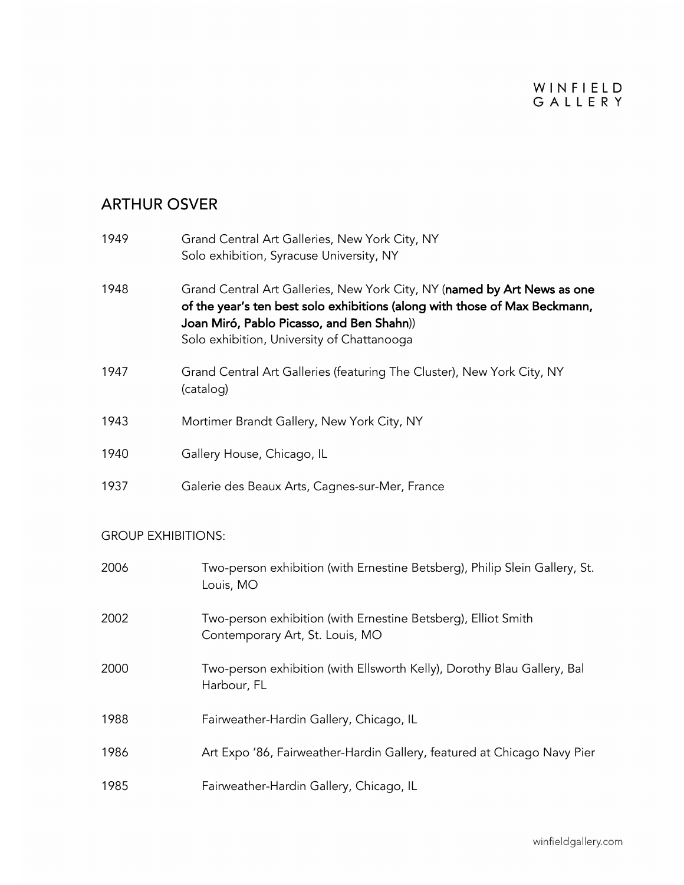### ARTHUR OSVER

| 1949 | Grand Central Art Galleries, New York City, NY<br>Solo exhibition, Syracuse University, NY                                                                                                                                                        |
|------|---------------------------------------------------------------------------------------------------------------------------------------------------------------------------------------------------------------------------------------------------|
| 1948 | Grand Central Art Galleries, New York City, NY (named by Art News as one<br>of the year's ten best solo exhibitions (along with those of Max Beckmann,<br>Joan Miró, Pablo Picasso, and Ben Shahn))<br>Solo exhibition, University of Chattanooga |
| 1947 | Grand Central Art Galleries (featuring The Cluster), New York City, NY<br>(catalog)                                                                                                                                                               |
| 1943 | Mortimer Brandt Gallery, New York City, NY                                                                                                                                                                                                        |
| 1940 | Gallery House, Chicago, IL                                                                                                                                                                                                                        |
| 1937 | Galerie des Beaux Arts, Cagnes-sur-Mer, France                                                                                                                                                                                                    |

#### GROUP EXHIBITIONS:

| 2006 | Two-person exhibition (with Ernestine Betsberg), Philip Slein Gallery, St.<br>Louis, MO          |
|------|--------------------------------------------------------------------------------------------------|
| 2002 | Two-person exhibition (with Ernestine Betsberg), Elliot Smith<br>Contemporary Art, St. Louis, MO |
| 2000 | Two-person exhibition (with Ellsworth Kelly), Dorothy Blau Gallery, Bal<br>Harbour, FL           |
| 1988 | Fairweather-Hardin Gallery, Chicago, IL                                                          |
| 1986 | Art Expo '86, Fairweather-Hardin Gallery, featured at Chicago Navy Pier                          |
| 1985 | Fairweather-Hardin Gallery, Chicago, IL                                                          |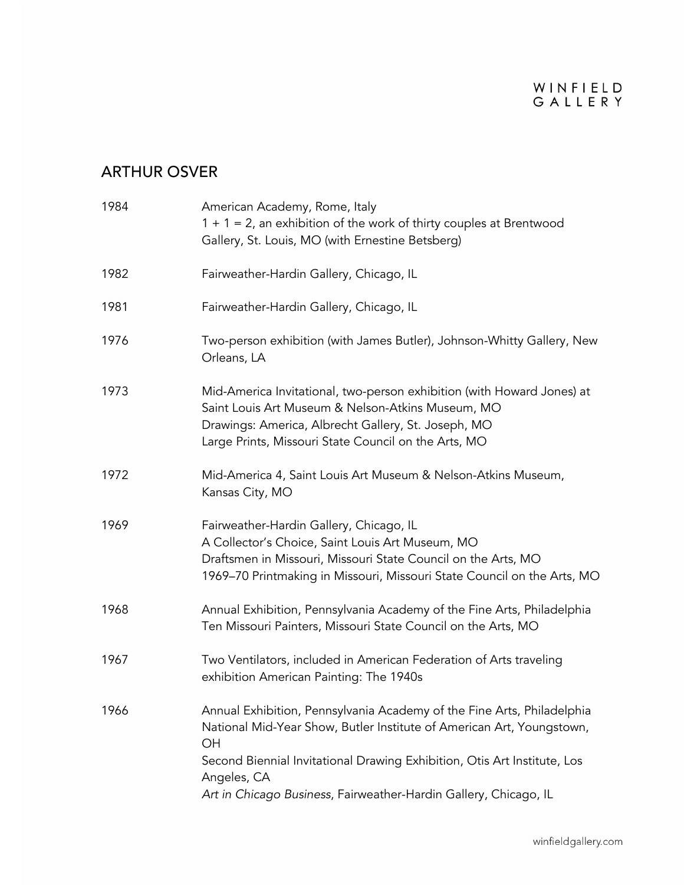| 1984 | American Academy, Rome, Italy<br>$1 + 1 = 2$ , an exhibition of the work of thirty couples at Brentwood<br>Gallery, St. Louis, MO (with Ernestine Betsberg)                                                                                                                                                          |
|------|----------------------------------------------------------------------------------------------------------------------------------------------------------------------------------------------------------------------------------------------------------------------------------------------------------------------|
| 1982 | Fairweather-Hardin Gallery, Chicago, IL                                                                                                                                                                                                                                                                              |
| 1981 | Fairweather-Hardin Gallery, Chicago, IL                                                                                                                                                                                                                                                                              |
| 1976 | Two-person exhibition (with James Butler), Johnson-Whitty Gallery, New<br>Orleans, LA                                                                                                                                                                                                                                |
| 1973 | Mid-America Invitational, two-person exhibition (with Howard Jones) at<br>Saint Louis Art Museum & Nelson-Atkins Museum, MO<br>Drawings: America, Albrecht Gallery, St. Joseph, MO<br>Large Prints, Missouri State Council on the Arts, MO                                                                           |
| 1972 | Mid-America 4, Saint Louis Art Museum & Nelson-Atkins Museum,<br>Kansas City, MO                                                                                                                                                                                                                                     |
| 1969 | Fairweather-Hardin Gallery, Chicago, IL<br>A Collector's Choice, Saint Louis Art Museum, MO<br>Draftsmen in Missouri, Missouri State Council on the Arts, MO<br>1969–70 Printmaking in Missouri, Missouri State Council on the Arts, MO                                                                              |
| 1968 | Annual Exhibition, Pennsylvania Academy of the Fine Arts, Philadelphia<br>Ten Missouri Painters, Missouri State Council on the Arts, MO                                                                                                                                                                              |
| 1967 | Two Ventilators, included in American Federation of Arts traveling<br>exhibition American Painting: The 1940s                                                                                                                                                                                                        |
| 1966 | Annual Exhibition, Pennsylvania Academy of the Fine Arts, Philadelphia<br>National Mid-Year Show, Butler Institute of American Art, Youngstown,<br>OН<br>Second Biennial Invitational Drawing Exhibition, Otis Art Institute, Los<br>Angeles, CA<br>Art in Chicago Business, Fairweather-Hardin Gallery, Chicago, IL |
|      |                                                                                                                                                                                                                                                                                                                      |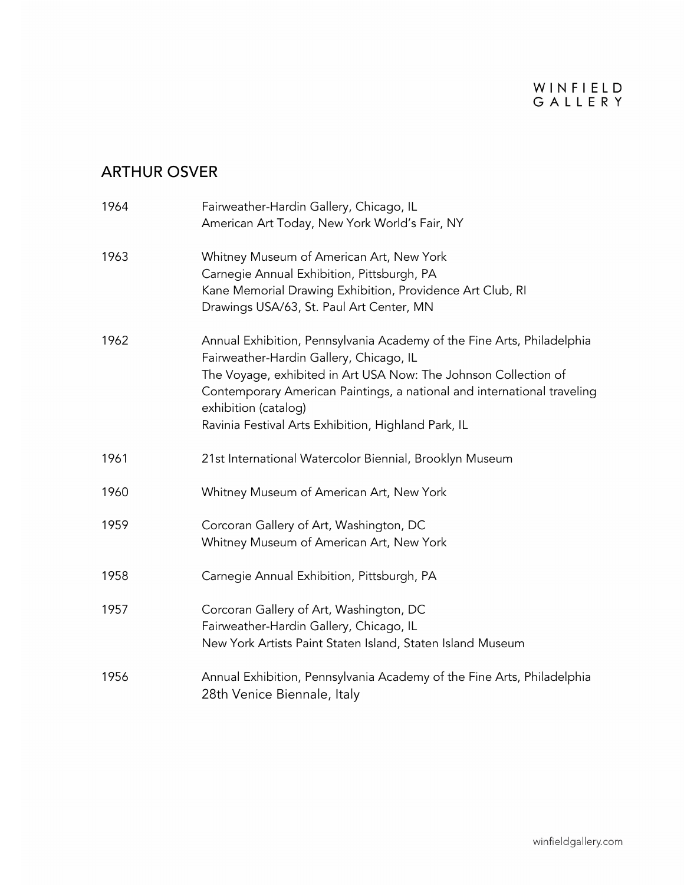| 1964 | Fairweather-Hardin Gallery, Chicago, IL<br>American Art Today, New York World's Fair, NY                                                                                                                                                                                                                                                       |
|------|------------------------------------------------------------------------------------------------------------------------------------------------------------------------------------------------------------------------------------------------------------------------------------------------------------------------------------------------|
| 1963 | Whitney Museum of American Art, New York<br>Carnegie Annual Exhibition, Pittsburgh, PA<br>Kane Memorial Drawing Exhibition, Providence Art Club, RI<br>Drawings USA/63, St. Paul Art Center, MN                                                                                                                                                |
| 1962 | Annual Exhibition, Pennsylvania Academy of the Fine Arts, Philadelphia<br>Fairweather-Hardin Gallery, Chicago, IL<br>The Voyage, exhibited in Art USA Now: The Johnson Collection of<br>Contemporary American Paintings, a national and international traveling<br>exhibition (catalog)<br>Ravinia Festival Arts Exhibition, Highland Park, IL |
| 1961 | 21st International Watercolor Biennial, Brooklyn Museum                                                                                                                                                                                                                                                                                        |
| 1960 | Whitney Museum of American Art, New York                                                                                                                                                                                                                                                                                                       |
| 1959 | Corcoran Gallery of Art, Washington, DC<br>Whitney Museum of American Art, New York                                                                                                                                                                                                                                                            |
| 1958 | Carnegie Annual Exhibition, Pittsburgh, PA                                                                                                                                                                                                                                                                                                     |
| 1957 | Corcoran Gallery of Art, Washington, DC<br>Fairweather-Hardin Gallery, Chicago, IL<br>New York Artists Paint Staten Island, Staten Island Museum                                                                                                                                                                                               |
| 1956 | Annual Exhibition, Pennsylvania Academy of the Fine Arts, Philadelphia<br>28th Venice Biennale, Italy                                                                                                                                                                                                                                          |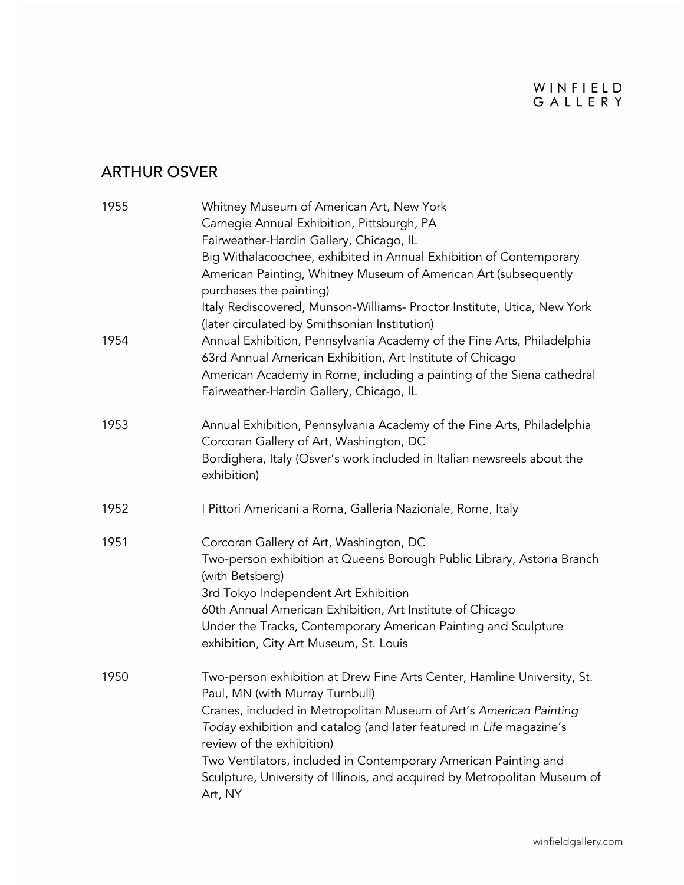| 1955 | Whitney Museum of American Art, New York<br>Carnegie Annual Exhibition, Pittsburgh, PA<br>Fairweather-Hardin Gallery, Chicago, IL<br>Big Withalacoochee, exhibited in Annual Exhibition of Contemporary<br>American Painting, Whitney Museum of American Art (subsequently<br>purchases the painting)<br>Italy Rediscovered, Munson-Williams- Proctor Institute, Utica, New York                                                                |
|------|-------------------------------------------------------------------------------------------------------------------------------------------------------------------------------------------------------------------------------------------------------------------------------------------------------------------------------------------------------------------------------------------------------------------------------------------------|
| 1954 | (later circulated by Smithsonian Institution)<br>Annual Exhibition, Pennsylvania Academy of the Fine Arts, Philadelphia<br>63rd Annual American Exhibition, Art Institute of Chicago<br>American Academy in Rome, including a painting of the Siena cathedral<br>Fairweather-Hardin Gallery, Chicago, IL                                                                                                                                        |
| 1953 | Annual Exhibition, Pennsylvania Academy of the Fine Arts, Philadelphia<br>Corcoran Gallery of Art, Washington, DC<br>Bordighera, Italy (Osver's work included in Italian newsreels about the<br>exhibition)                                                                                                                                                                                                                                     |
| 1952 | I Pittori Americani a Roma, Galleria Nazionale, Rome, Italy                                                                                                                                                                                                                                                                                                                                                                                     |
| 1951 | Corcoran Gallery of Art, Washington, DC<br>Two-person exhibition at Queens Borough Public Library, Astoria Branch<br>(with Betsberg)<br>3rd Tokyo Independent Art Exhibition<br>60th Annual American Exhibition, Art Institute of Chicago<br>Under the Tracks, Contemporary American Painting and Sculpture<br>exhibition, City Art Museum, St. Louis                                                                                           |
| 1950 | Two-person exhibition at Drew Fine Arts Center, Hamline University, St.<br>Paul, MN (with Murray Turnbull)<br>Cranes, included in Metropolitan Museum of Art's American Painting<br>Today exhibition and catalog (and later featured in Life magazine's<br>review of the exhibition)<br>Two Ventilators, included in Contemporary American Painting and<br>Sculpture, University of Illinois, and acquired by Metropolitan Museum of<br>Art, NY |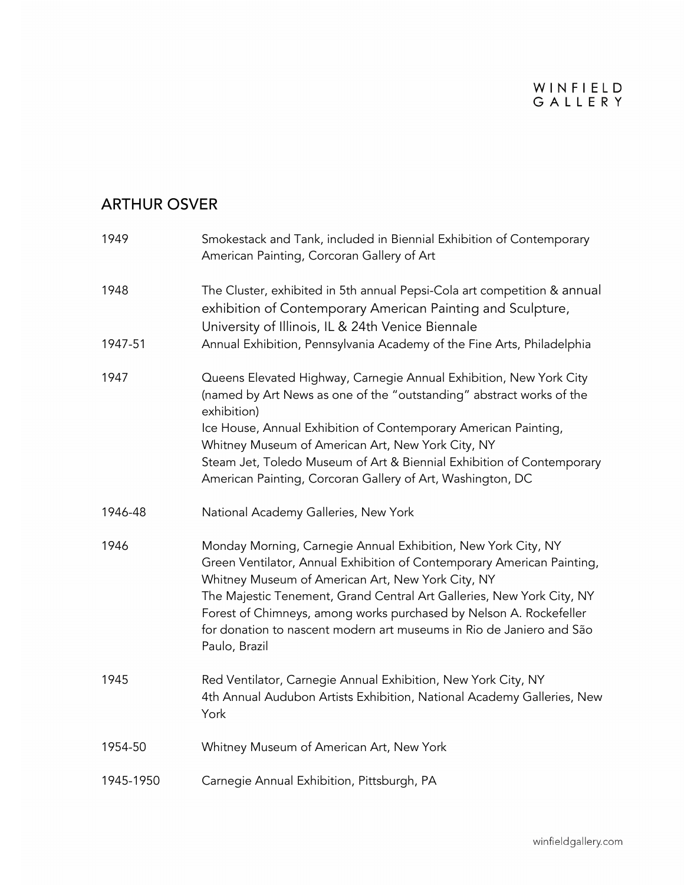| 1949      | Smokestack and Tank, included in Biennial Exhibition of Contemporary<br>American Painting, Corcoran Gallery of Art                                                                                                                                                                                                                                                                                                                   |
|-----------|--------------------------------------------------------------------------------------------------------------------------------------------------------------------------------------------------------------------------------------------------------------------------------------------------------------------------------------------------------------------------------------------------------------------------------------|
| 1948      | The Cluster, exhibited in 5th annual Pepsi-Cola art competition & annual<br>exhibition of Contemporary American Painting and Sculpture,<br>University of Illinois, IL & 24th Venice Biennale                                                                                                                                                                                                                                         |
| 1947-51   | Annual Exhibition, Pennsylvania Academy of the Fine Arts, Philadelphia                                                                                                                                                                                                                                                                                                                                                               |
| 1947      | Queens Elevated Highway, Carnegie Annual Exhibition, New York City<br>(named by Art News as one of the "outstanding" abstract works of the<br>exhibition)<br>Ice House, Annual Exhibition of Contemporary American Painting,                                                                                                                                                                                                         |
|           | Whitney Museum of American Art, New York City, NY<br>Steam Jet, Toledo Museum of Art & Biennial Exhibition of Contemporary<br>American Painting, Corcoran Gallery of Art, Washington, DC                                                                                                                                                                                                                                             |
| 1946-48   | National Academy Galleries, New York                                                                                                                                                                                                                                                                                                                                                                                                 |
| 1946      | Monday Morning, Carnegie Annual Exhibition, New York City, NY<br>Green Ventilator, Annual Exhibition of Contemporary American Painting,<br>Whitney Museum of American Art, New York City, NY<br>The Majestic Tenement, Grand Central Art Galleries, New York City, NY<br>Forest of Chimneys, among works purchased by Nelson A. Rockefeller<br>for donation to nascent modern art museums in Rio de Janiero and São<br>Paulo, Brazil |
| 1945      | Red Ventilator, Carnegie Annual Exhibition, New York City, NY<br>4th Annual Audubon Artists Exhibition, National Academy Galleries, New<br>York                                                                                                                                                                                                                                                                                      |
| 1954-50   | Whitney Museum of American Art, New York                                                                                                                                                                                                                                                                                                                                                                                             |
| 1945-1950 | Carnegie Annual Exhibition, Pittsburgh, PA                                                                                                                                                                                                                                                                                                                                                                                           |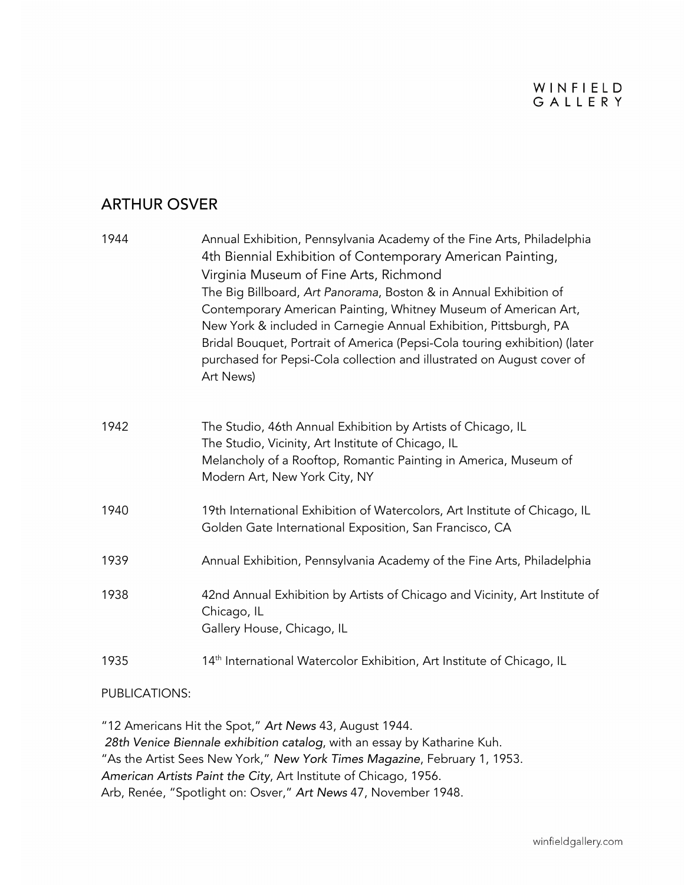#### WINFIELD GALLERY

#### ARTHUR OSVER

| 1944 | Annual Exhibition, Pennsylvania Academy of the Fine Arts, Philadelphia<br>4th Biennial Exhibition of Contemporary American Painting,<br>Virginia Museum of Fine Arts, Richmond<br>The Big Billboard, Art Panorama, Boston & in Annual Exhibition of<br>Contemporary American Painting, Whitney Museum of American Art,<br>New York & included in Carnegie Annual Exhibition, Pittsburgh, PA<br>Bridal Bouquet, Portrait of America (Pepsi-Cola touring exhibition) (later<br>purchased for Pepsi-Cola collection and illustrated on August cover of<br>Art News) |
|------|------------------------------------------------------------------------------------------------------------------------------------------------------------------------------------------------------------------------------------------------------------------------------------------------------------------------------------------------------------------------------------------------------------------------------------------------------------------------------------------------------------------------------------------------------------------|
| 1942 | The Studio, 46th Annual Exhibition by Artists of Chicago, IL<br>The Studio, Vicinity, Art Institute of Chicago, IL<br>Melancholy of a Rooftop, Romantic Painting in America, Museum of<br>Modern Art, New York City, NY                                                                                                                                                                                                                                                                                                                                          |
| 1940 | 19th International Exhibition of Watercolors, Art Institute of Chicago, IL<br>Golden Gate International Exposition, San Francisco, CA                                                                                                                                                                                                                                                                                                                                                                                                                            |
| 1939 | Annual Exhibition, Pennsylvania Academy of the Fine Arts, Philadelphia                                                                                                                                                                                                                                                                                                                                                                                                                                                                                           |
| 1938 | 42nd Annual Exhibition by Artists of Chicago and Vicinity, Art Institute of<br>Chicago, IL<br>Gallery House, Chicago, IL                                                                                                                                                                                                                                                                                                                                                                                                                                         |
| 1935 | 14 <sup>th</sup> International Watercolor Exhibition, Art Institute of Chicago, IL                                                                                                                                                                                                                                                                                                                                                                                                                                                                               |

#### PUBLICATIONS:

"12 Americans Hit the Spot," *Art News* 43, August 1944. *28th Venice Biennale exhibition catalog*, with an essay by Katharine Kuh. "As the Artist Sees New York," *New York Times Magazine*, February 1, 1953. *American Artists Paint the City*, Art Institute of Chicago, 1956. Arb, Renée, "Spotlight on: Osver," *Art News* 47, November 1948.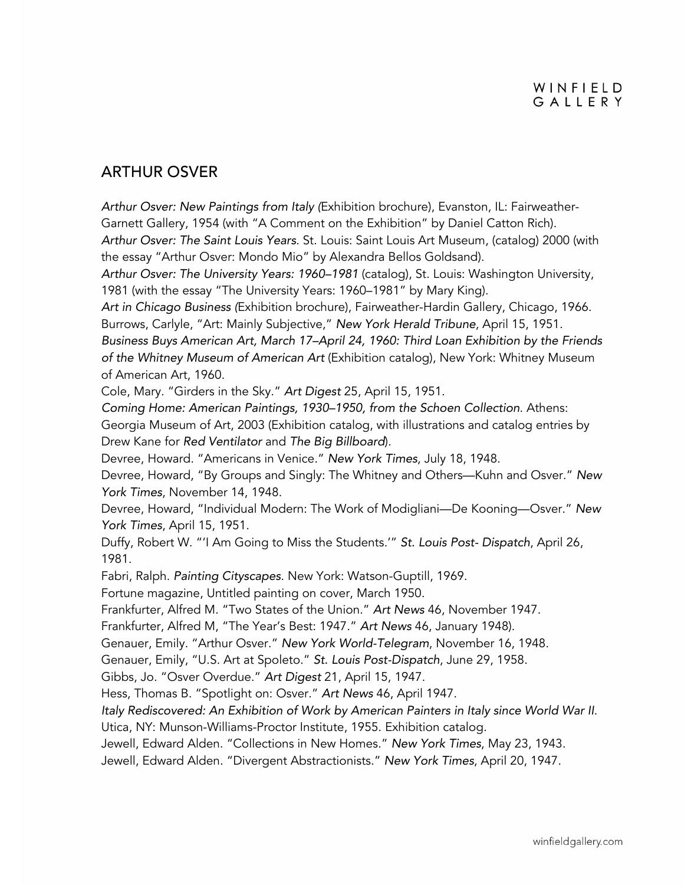#### ARTHUR OSVER

*Arthur Osver: New Paintings from Italy (*Exhibition brochure), Evanston, IL: Fairweather-Garnett Gallery, 1954 (with "A Comment on the Exhibition" by Daniel Catton Rich). *Arthur Osver: The Saint Louis Years*. St. Louis: Saint Louis Art Museum, (catalog) 2000 (with the essay "Arthur Osver: Mondo Mio" by Alexandra Bellos Goldsand).

*Arthur Osver: The University Years: 1960–1981* (catalog), St. Louis: Washington University, 1981 (with the essay "The University Years: 1960–1981" by Mary King).

*Art in Chicago Business (*Exhibition brochure), Fairweather-Hardin Gallery, Chicago, 1966. Burrows, Carlyle, "Art: Mainly Subjective," *New York Herald Tribune*, April 15, 1951.

*Business Buys American Art, March 17–April 24, 1960: Third Loan Exhibition by the Friends of the Whitney Museum of American Art* (Exhibition catalog), New York: Whitney Museum of American Art, 1960.

Cole, Mary. "Girders in the Sky." *Art Digest* 25, April 15, 1951.

*Coming Home: American Paintings, 1930–1950, from the Schoen Collection*. Athens: Georgia Museum of Art, 2003 (Exhibition catalog, with illustrations and catalog entries by Drew Kane for *Red Ventilator* and *The Big Billboard*).

Devree, Howard. "Americans in Venice." *New York Times*, July 18, 1948.

Devree, Howard, "By Groups and Singly: The Whitney and Others—Kuhn and Osver." *New York Times*, November 14, 1948.

Devree, Howard, "Individual Modern: The Work of Modigliani—De Kooning—Osver." *New York Times*, April 15, 1951.

Duffy, Robert W. "'I Am Going to Miss the Students.'" *St. Louis Post- Dispatch*, April 26, 1981.

Fabri, Ralph. *Painting Cityscapes*. New York: Watson-Guptill, 1969.

Fortune magazine, Untitled painting on cover, March 1950.

Frankfurter, Alfred M. "Two States of the Union." *Art News* 46, November 1947.

Frankfurter, Alfred M, "The Year's Best: 1947." *Art News* 46, January 1948).

Genauer, Emily. "Arthur Osver." *New York World-Telegram*, November 16, 1948.

Genauer, Emily, "U.S. Art at Spoleto." *St. Louis Post-Dispatch*, June 29, 1958.

Gibbs, Jo. "Osver Overdue." *Art Digest* 21, April 15, 1947.

Hess, Thomas B. "Spotlight on: Osver." *Art News* 46, April 1947.

*Italy Rediscovered: An Exhibition of Work by American Painters in Italy since World War II*. Utica, NY: Munson-Williams-Proctor Institute, 1955. Exhibition catalog.

Jewell, Edward Alden. "Collections in New Homes." *New York Times*, May 23, 1943.

Jewell, Edward Alden. "Divergent Abstractionists." *New York Times*, April 20, 1947.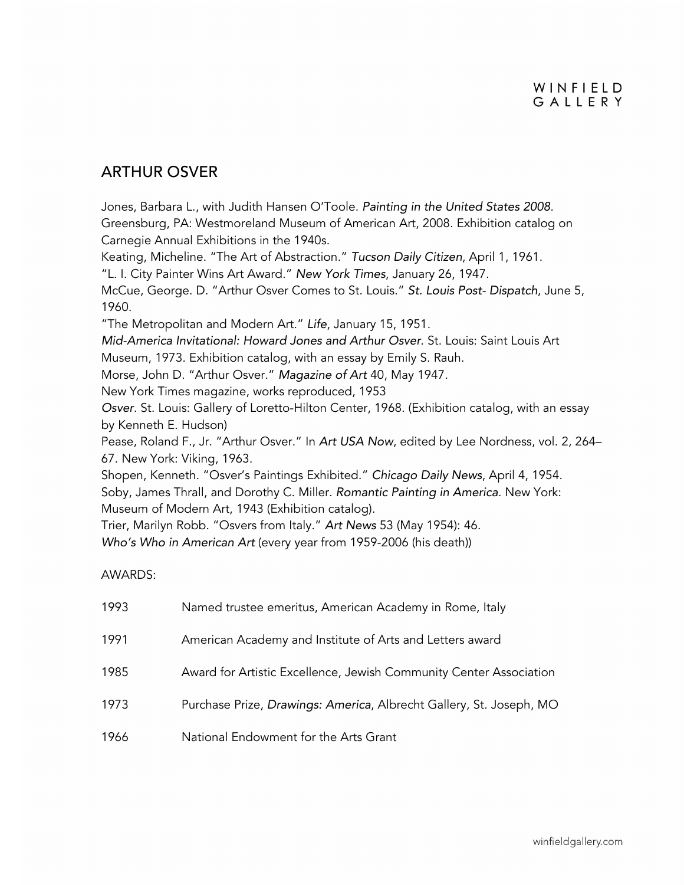#### ARTHUR OSVER

Jones, Barbara L., with Judith Hansen O'Toole. *Painting in the United States 2008*. Greensburg, PA: Westmoreland Museum of American Art, 2008. Exhibition catalog on Carnegie Annual Exhibitions in the 1940s.

Keating, Micheline. "The Art of Abstraction." *Tucson Daily Citizen*, April 1, 1961.

"L. I. City Painter Wins Art Award." *New York Times*, January 26, 1947.

McCue, George. D. "Arthur Osver Comes to St. Louis." *St. Louis Post- Dispatch*, June 5, 1960.

"The Metropolitan and Modern Art." *Life*, January 15, 1951.

*Mid-America Invitational: Howard Jones and Arthur Osver*. St. Louis: Saint Louis Art

Museum, 1973. Exhibition catalog, with an essay by Emily S. Rauh.

Morse, John D. "Arthur Osver." *Magazine of Art* 40, May 1947.

New York Times magazine, works reproduced, 1953

*Osver*. St. Louis: Gallery of Loretto-Hilton Center, 1968. (Exhibition catalog, with an essay by Kenneth E. Hudson)

Pease, Roland F., Jr. "Arthur Osver." In *Art USA Now*, edited by Lee Nordness, vol. 2, 264– 67. New York: Viking, 1963.

Shopen, Kenneth. "Osver's Paintings Exhibited." *Chicago Daily News*, April 4, 1954. Soby, James Thrall, and Dorothy C. Miller. *Romantic Painting in America*. New York: Museum of Modern Art, 1943 (Exhibition catalog).

Trier, Marilyn Robb. "Osvers from Italy." *Art News* 53 (May 1954): 46.

*Who's Who in American Art* (every year from 1959-2006 (his death))

#### AWARDS:

| 1993 | Named trustee emeritus, American Academy in Rome, Italy             |
|------|---------------------------------------------------------------------|
| 1991 | American Academy and Institute of Arts and Letters award            |
| 1985 | Award for Artistic Excellence, Jewish Community Center Association  |
| 1973 | Purchase Prize, Drawings: America, Albrecht Gallery, St. Joseph, MO |
| 1966 | National Endowment for the Arts Grant                               |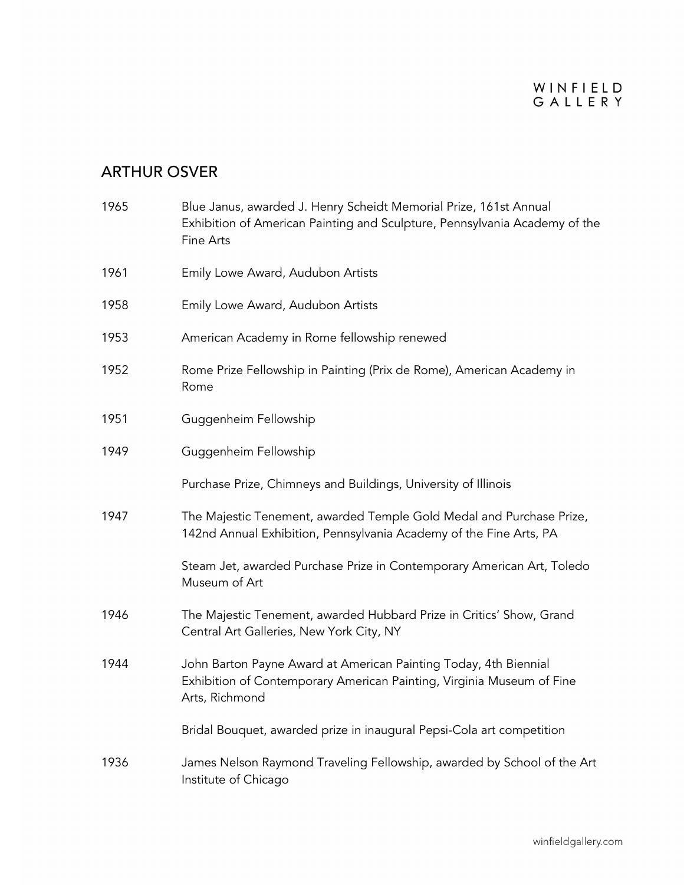| 1965 | Blue Janus, awarded J. Henry Scheidt Memorial Prize, 161st Annual<br>Exhibition of American Painting and Sculpture, Pennsylvania Academy of the<br>Fine Arts |
|------|--------------------------------------------------------------------------------------------------------------------------------------------------------------|
| 1961 | Emily Lowe Award, Audubon Artists                                                                                                                            |
| 1958 | Emily Lowe Award, Audubon Artists                                                                                                                            |
| 1953 | American Academy in Rome fellowship renewed                                                                                                                  |
| 1952 | Rome Prize Fellowship in Painting (Prix de Rome), American Academy in<br>Rome                                                                                |
| 1951 | Guggenheim Fellowship                                                                                                                                        |
| 1949 | Guggenheim Fellowship                                                                                                                                        |
|      | Purchase Prize, Chimneys and Buildings, University of Illinois                                                                                               |
| 1947 | The Majestic Tenement, awarded Temple Gold Medal and Purchase Prize,<br>142nd Annual Exhibition, Pennsylvania Academy of the Fine Arts, PA                   |
|      | Steam Jet, awarded Purchase Prize in Contemporary American Art, Toledo<br>Museum of Art                                                                      |
| 1946 | The Majestic Tenement, awarded Hubbard Prize in Critics' Show, Grand<br>Central Art Galleries, New York City, NY                                             |
| 1944 | John Barton Payne Award at American Painting Today, 4th Biennial<br>Exhibition of Contemporary American Painting, Virginia Museum of Fine<br>Arts, Richmond  |
|      | Bridal Bouquet, awarded prize in inaugural Pepsi-Cola art competition                                                                                        |
| 1936 | James Nelson Raymond Traveling Fellowship, awarded by School of the Art<br>Institute of Chicago                                                              |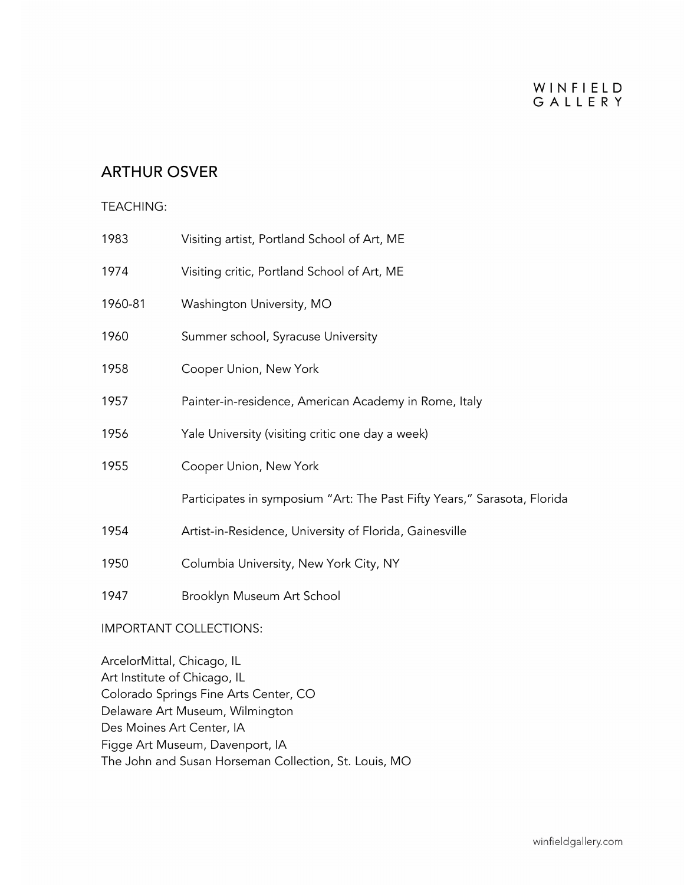#### WINFIELD GALLERY

### ARTHUR OSVER

#### TEACHING:

| 1983                          | Visiting artist, Portland School of Art, ME                              |  |
|-------------------------------|--------------------------------------------------------------------------|--|
| 1974                          | Visiting critic, Portland School of Art, ME                              |  |
| 1960-81                       | Washington University, MO                                                |  |
| 1960                          | Summer school, Syracuse University                                       |  |
| 1958                          | Cooper Union, New York                                                   |  |
| 1957                          | Painter-in-residence, American Academy in Rome, Italy                    |  |
| 1956                          | Yale University (visiting critic one day a week)                         |  |
| 1955                          | Cooper Union, New York                                                   |  |
|                               | Participates in symposium "Art: The Past Fifty Years," Sarasota, Florida |  |
| 1954                          | Artist-in-Residence, University of Florida, Gainesville                  |  |
| 1950                          | Columbia University, New York City, NY                                   |  |
| 1947                          | Brooklyn Museum Art School                                               |  |
| <b>IMPORTANT COLLECTIONS:</b> |                                                                          |  |

ArcelorMittal, Chicago, IL Art Institute of Chicago, IL Colorado Springs Fine Arts Center, CO Delaware Art Museum, Wilmington Des Moines Art Center, IA Figge Art Museum, Davenport, IA The John and Susan Horseman Collection, St. Louis, MO